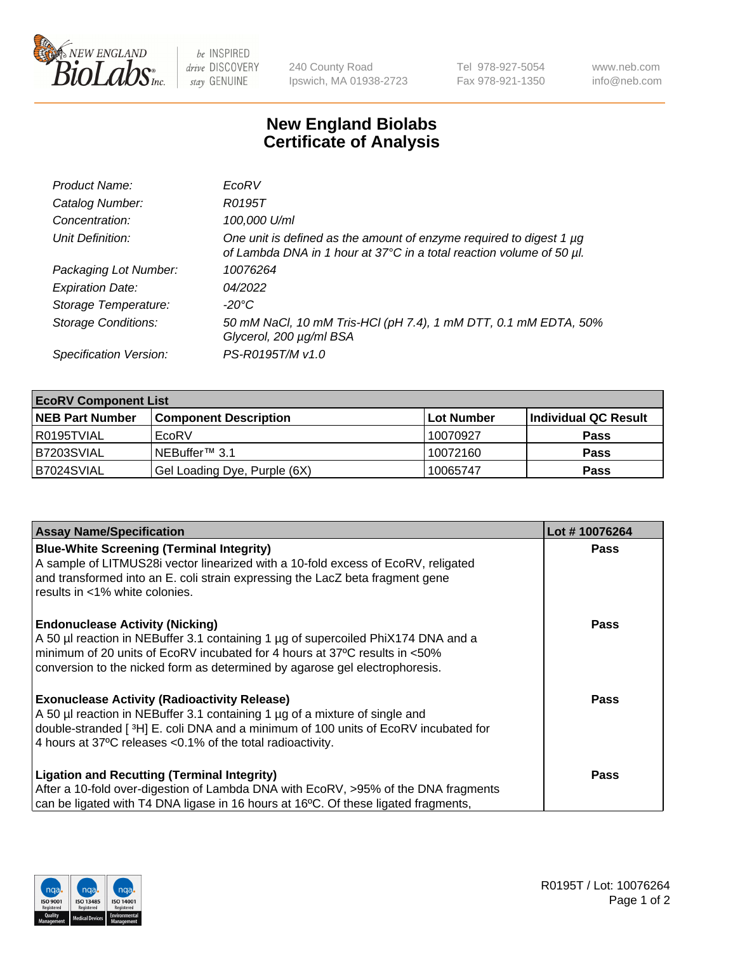

 $be$  INSPIRED drive DISCOVERY stay GENUINE

240 County Road Ipswich, MA 01938-2723 Tel 978-927-5054 Fax 978-921-1350 www.neb.com info@neb.com

## **New England Biolabs Certificate of Analysis**

| Product Name:              | EcoRV                                                                                                                                       |
|----------------------------|---------------------------------------------------------------------------------------------------------------------------------------------|
| Catalog Number:            | R0195T                                                                                                                                      |
| Concentration:             | 100,000 U/ml                                                                                                                                |
| Unit Definition:           | One unit is defined as the amount of enzyme required to digest 1 µg<br>of Lambda DNA in 1 hour at 37°C in a total reaction volume of 50 µl. |
| Packaging Lot Number:      | 10076264                                                                                                                                    |
| <b>Expiration Date:</b>    | 04/2022                                                                                                                                     |
| Storage Temperature:       | -20°C                                                                                                                                       |
| <b>Storage Conditions:</b> | 50 mM NaCl, 10 mM Tris-HCl (pH 7.4), 1 mM DTT, 0.1 mM EDTA, 50%<br>Glycerol, 200 µg/ml BSA                                                  |
| Specification Version:     | PS-R0195T/M v1.0                                                                                                                            |

| <b>EcoRV Component List</b> |                              |            |                      |  |  |
|-----------------------------|------------------------------|------------|----------------------|--|--|
| <b>NEB Part Number</b>      | <b>Component Description</b> | Lot Number | Individual QC Result |  |  |
| l R0195TVIAL                | EcoRV                        | 10070927   | <b>Pass</b>          |  |  |
| B7203SVIAL                  | INEBuffer™ 3.1               | 10072160   | <b>Pass</b>          |  |  |
| B7024SVIAL                  | Gel Loading Dye, Purple (6X) | 10065747   | <b>Pass</b>          |  |  |

| <b>Assay Name/Specification</b>                                                                                                                                                                                                               | Lot #10076264 |
|-----------------------------------------------------------------------------------------------------------------------------------------------------------------------------------------------------------------------------------------------|---------------|
| <b>Blue-White Screening (Terminal Integrity)</b><br>A sample of LITMUS28i vector linearized with a 10-fold excess of EcoRV, religated<br>and transformed into an E. coli strain expressing the LacZ beta fragment gene                        | <b>Pass</b>   |
| results in <1% white colonies.<br><b>Endonuclease Activity (Nicking)</b><br>A 50 µl reaction in NEBuffer 3.1 containing 1 µg of supercoiled PhiX174 DNA and a                                                                                 | <b>Pass</b>   |
| minimum of 20 units of EcoRV incubated for 4 hours at 37°C results in <50%<br>conversion to the nicked form as determined by agarose gel electrophoresis.<br><b>Exonuclease Activity (Radioactivity Release)</b>                              | Pass          |
| A 50 µl reaction in NEBuffer 3.1 containing 1 µg of a mixture of single and<br>double-stranded [ <sup>3</sup> H] E. coli DNA and a minimum of 100 units of EcoRV incubated for<br>4 hours at 37°C releases < 0.1% of the total radioactivity. |               |
| <b>Ligation and Recutting (Terminal Integrity)</b><br>After a 10-fold over-digestion of Lambda DNA with EcoRV, >95% of the DNA fragments                                                                                                      | <b>Pass</b>   |
| can be ligated with T4 DNA ligase in 16 hours at 16 <sup>o</sup> C. Of these ligated fragments,                                                                                                                                               |               |